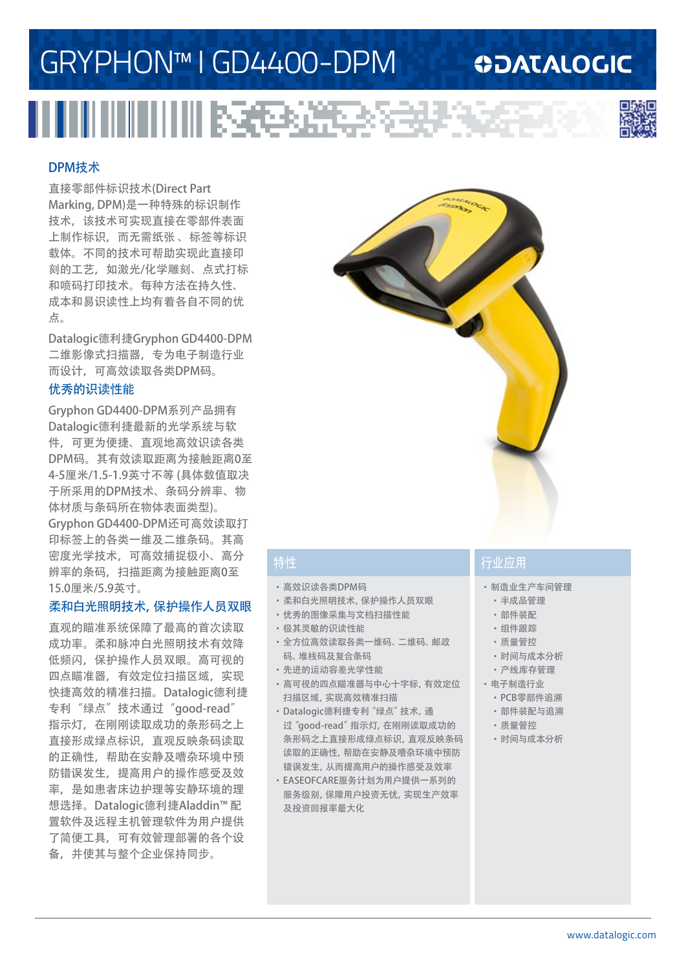# GRYPHON™ I GD4400-DPM

### **ODATALOGIC**



#### DPM技术

直接零部件标识技术(Direct Part Marking, DPM)是一种特殊的标识制作 技术,该技术可实现直接在零部件表面 上制作标识,而无需纸张 、标签等标识 载体。不同的技术可帮助实现此直接印 刻的工艺,如激光/化学雕刻、点式打标 和喷码打印技术。每种方法在持久性、 成本和易识读性上均有着各自不同的优 点。

Datalogic德利捷Gryphon GD4400-DPM 二维影像式扫描器,专为电子制造行业 而设计,可高效读取各类DPM码。

#### 优秀的识读性能

Gryphon GD4400-DPM系列产品拥有 Datalogic德利捷最新的光学系统与软 件,可更为便捷、直观地高效识读各类 DPM码。其有效读取距离为接触距离0至 4-5厘米/1.5-1.9英寸不等 (具体数值取决 于所采用的DPM技术、条码分辨率、物 体材质与条码所在物体表面类型)。 Gryphon GD4400-DPM还可高效读取打 印标签上的各类一维及二维条码。其高 密度光学技术,可高效捕捉极小、高分 辨率的条码,扫描距离为接触距离0至 15.0厘米/5.9英寸。

#### 柔和白光照明技术,保护操作人员双眼

直观的瞄准系统保障了最高的首次读取 成功率。柔和脉冲白光照明技术有效降 低频闪,保护操作人员双眼。高可视的 四点瞄准器,有效定位扫描区域,实现 快捷高效的精准扫描。Datalogic德利捷 专利"绿点"技术通过"good-read" 指示灯,在刚刚读取成功的条形码之上 直接形成绿点标识,直观反映条码读取 的正确性,帮助在安静及嘈杂环境中预 防错误发生,提高用户的操作感受及效 率,是如患者床边护理等安静环境的理 想选择。Datalogic德利捷Aladdin™ 配 置软件及远程主机管理软件为用户提供 了简便工具,可有效管理部署的各个设 备,并使其与整个企业保持同步。



- ·高效识读各类DPM码
- ·柔和白光照明技术,保护操作人员双眼
- ·优秀的图像采集与文档扫描性能
- ·极其灵敏的识读性能
- ·全方位高效读取各类一维码、二维码、邮政
- 码、堆栈码及复合条码 ·先进的运动容差光学性能
- ·高可视的四点瞄准器与中心十字标,有效定位 扫描区域,实现高效精准扫描
- ·Datalogic德利捷专利"绿点"技术,通 过"good-read"指示灯,在刚刚读取成功的 条形码之上直接形成绿点标识,直观反映条码 读取的正确性,帮助在安静及嘈杂环境中预防 错误发生,从而提高用户的操作感受及效率
- ·EASEOFCARE服务计划为用户提供一系列的 服务级别,保障用户投资无忧,实现生产效率 及投资回报率最大化

### 特性 行业应用

- ·制造业生产车间管理
- ·半成品管理
- ·部件装配
- ·组件跟踪
- ·质量管控
- ·时间与成本分析
- ·产线库存管理
- ·电子制造行业
	- ·PCB零部件追溯
	- ·部件装配与追溯
	- ·质量管控
	- ·时间与成本分析